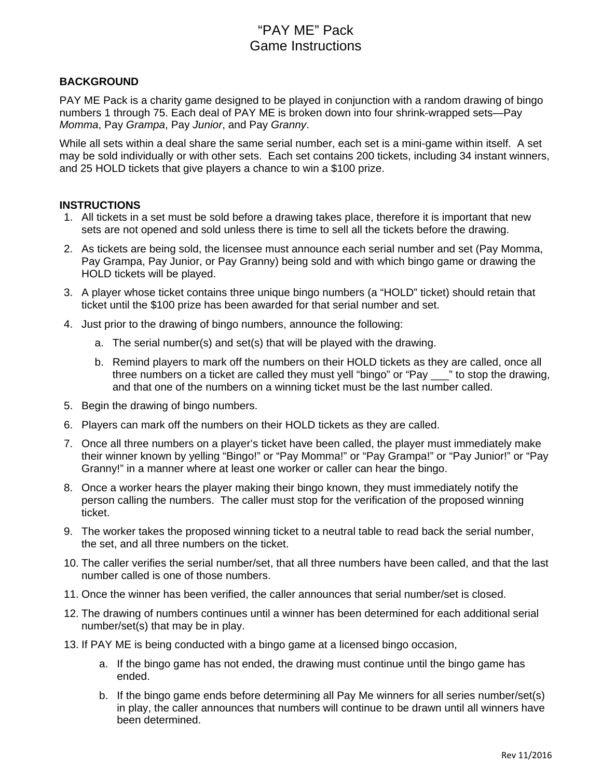# "PAY ME" Pack Game Instructions

#### **BACKGROUND**

PAY ME Pack is a charity game designed to be played in conjunction with a random drawing of bingo numbers 1 through 75. Each deal of PAY ME is broken down into four shrink-wrapped sets—Pay *Momma*, Pay *Grampa*, Pay *Junior*, and Pay *Granny*.

While all sets within a deal share the same serial number, each set is a mini-game within itself. A set may be sold individually or with other sets. Each set contains 200 tickets, including 34 instant winners, and 25 HOLD tickets that give players a chance to win a \$100 prize.

#### **INSTRUCTIONS**

- 1. All tickets in a set must be sold before a drawing takes place, therefore it is important that new sets are not opened and sold unless there is time to sell all the tickets before the drawing.
- 2. As tickets are being sold, the licensee must announce each serial number and set (Pay Momma, Pay Grampa, Pay Junior, or Pay Granny) being sold and with which bingo game or drawing the HOLD tickets will be played.
- 3. A player whose ticket contains three unique bingo numbers (a "HOLD" ticket) should retain that ticket until the \$100 prize has been awarded for that serial number and set.
- 4. Just prior to the drawing of bingo numbers, announce the following:
	- a. The serial number(s) and set(s) that will be played with the drawing.
	- b. Remind players to mark off the numbers on their HOLD tickets as they are called, once all three numbers on a ticket are called they must yell "bingo" or "Pay with the drawing, and that one of the numbers on a winning ticket must be the last number called.
- 5. Begin the drawing of bingo numbers.
- 6. Players can mark off the numbers on their HOLD tickets as they are called.
- 7. Once all three numbers on a player's ticket have been called, the player must immediately make their winner known by yelling "Bingo!" or "Pay Momma!" or "Pay Grampa!" or "Pay Junior!" or "Pay Granny!" in a manner where at least one worker or caller can hear the bingo.
- 8. Once a worker hears the player making their bingo known, they must immediately notify the person calling the numbers. The caller must stop for the verification of the proposed winning ticket.
- 9. The worker takes the proposed winning ticket to a neutral table to read back the serial number, the set, and all three numbers on the ticket.
- 10. The caller verifies the serial number/set, that all three numbers have been called, and that the last number called is one of those numbers.
- 11. Once the winner has been verified, the caller announces that serial number/set is closed.
- 12. The drawing of numbers continues until a winner has been determined for each additional serial number/set(s) that may be in play.
- 13. If PAY ME is being conducted with a bingo game at a licensed bingo occasion,
	- a. If the bingo game has not ended, the drawing must continue until the bingo game has ended.
	- b. If the bingo game ends before determining all Pay Me winners for all series number/set(s) in play, the caller announces that numbers will continue to be drawn until all winners have been determined.